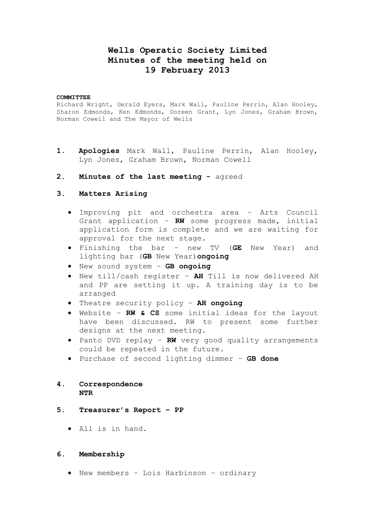# **Wells Operatic Society Limited Minutes of the meeting held on 19 February 2013**

#### **COMMITTEE**

Richard Wright, Gerald Eyers, Mark Wall, Pauline Perrin, Alan Hooley, Sharon Edmonds, Ken Edmonds, Doreen Grant, Lyn Jones, Graham Brown, Norman Cowell and The Mayor of Wells

- **1. Apologies** Mark Wall, Pauline Perrin, Alan Hooley, Lyn Jones, Graham Brown, Norman Cowell
- **2. Minutes of the last meeting -** agreed

#### **3. Matters Arising**

- Improving pit and orchestra area Arts Council Grant application – **RW** some progress made, initial application form is complete and we are waiting for approval for the next stage.
- Finishing the bar new TV (**GE** New Year) and lighting bar (**GB** New Year)**ongoing**
- New sound system **GB ongoing**
- New till/cash register **AH** Till is now delivered AH and PP are setting it up. A training day is to be arranged
- Theatre security policy **AH ongoing**
- Website **RW & CS** some initial ideas for the layout have been discussed. RW to present some further designs at the next meeting.
- Panto DVD replay RW very good quality arrangements could be repeated in the future.
- Purchase of second lighting dimmer **GB done**

## **4. Correspondence NTR**

- **5. Treasurer's Report – PP**
	- All is in hand.

#### **6. Membership**

New members – Lois Harbinson – ordinary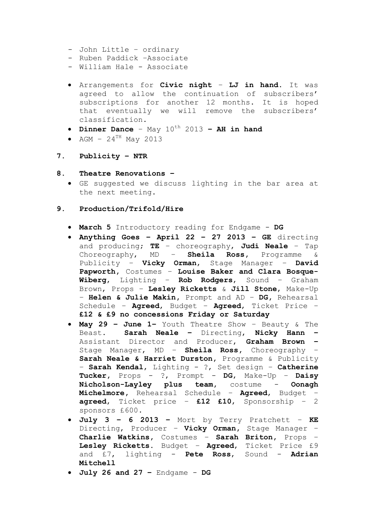- John Little ordinary
- Ruben Paddick –Associate
- William Hale Associate
- Arrangements for **Civic night LJ in hand.** It was agreed to allow the continuation of subscribers' subscriptions for another 12 months. It is hoped that eventually we will remove the subscribers' classification.
- Dinner Dance  $-$  May  $10^{th}$  2013  $-$  AH in hand
- AGM  $24^{TH}$  May 2013

## **7. Publicity – NTR**

### **8. Theatre Renovations –**

 GE suggested we discuss lighting in the bar area at the next meeting.

### **9. Production/Trifold/Hire**

- **March 5** Introductory reading for Endgame **DG**
- **Anything Goes – April 22 – 27 2013 – GE** directing and producing; **TE** – choreography, **Judi Neale** – Tap Choreography, MD – **Sheila Ross,** Programme & Publicity – **Vicky Orman**, Stage Manager – **David Papworth,** Costumes – **Louise Baker and Clara Bosque-Wiberg**, Lighting – **Rob Rodgers**, Sound – Graham Brown, Props – **Lesley Ricketts** & **Jill Stone**, Make-Up – **Helen & Julie Makin,** Prompt and AD – **DG,** Rehearsal Schedule – **Agreed**, Budget – **Agreed**, Ticket Price – **£12 & £9 no concessions Friday or Saturday**
- **May 29 – June 1–** Youth Theatre Show Beauty & The Beast. **Sarah Neale –** Directing, **Nicky Hann –** Assistant Director and Producer, **Graham Brown –** Stage Manager, MD – **Sheila Ross,** Choreography – **Sarah Neale & Harriet Durston,** Programme & Publicity – **Sarah Kendal**, Lighting - ?, Set design – **Catherine Tucker,** Props - ?, Prompt - **DG**, Make-Up – **Daisy Nicholson-Layley plus team,** costume - **Oonagh Michelmore,** Rehearsal Schedule – **Agreed**, Budget – **agreed**, Ticket price – **£12 £10**, Sponsorship – 2 sponsors £600.
- **July 3 – 6 2013 –** Mort by Terry Pratchett **KE**  Directing, Producer – **Vicky Orman,** Stage Manager – **Charlie Watkins,** Costumes – **Sarah Briton,** Props – **Lesley Ricketts.** Budget – **Agreed**, Ticket Price £9 and £7, lighting - **Pete Ross**, Sound - **Adrian Mitchell**
- **July 26 and 27 –** Endgame **DG**